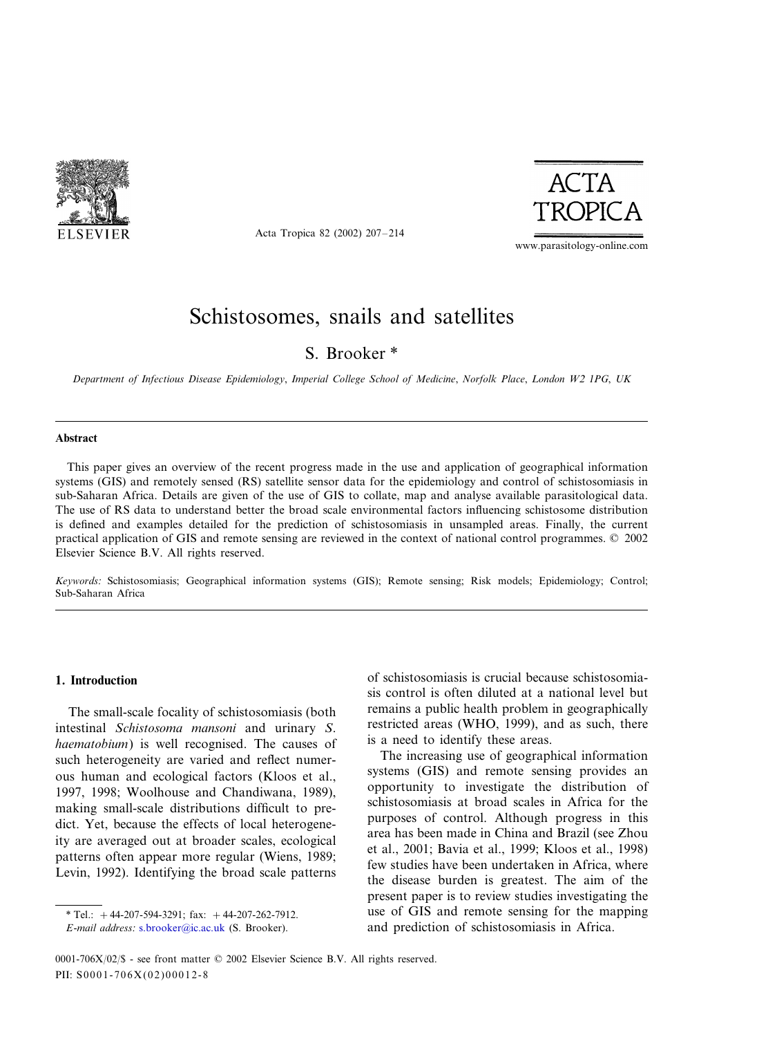

Acta Tropica 82 (2002) 207 – 214



www.parasitology-online.com

# Schistosomes, snails and satellites

S. Brooker \*

*Department of Infectious Disease Epidemiology*, *Imperial College School of Medicine*, *Norfolk Place*, *London W*<sup>2</sup> <sup>1</sup>*PG*, *UK*

## **Abstract**

This paper gives an overview of the recent progress made in the use and application of geographical information systems (GIS) and remotely sensed (RS) satellite sensor data for the epidemiology and control of schistosomiasis in sub-Saharan Africa. Details are given of the use of GIS to collate, map and analyse available parasitological data. The use of RS data to understand better the broad scale environmental factors influencing schistosome distribution is defined and examples detailed for the prediction of schistosomiasis in unsampled areas. Finally, the current practical application of GIS and remote sensing are reviewed in the context of national control programmes. © 2002 Elsevier Science B.V. All rights reserved.

*Keywords*: Schistosomiasis; Geographical information systems (GIS); Remote sensing; Risk models; Epidemiology; Control; Sub-Saharan Africa

## **1. Introduction**

The small-scale focality of schistosomiasis (both intestinal *Schistosoma mansoni* and urinary *S*. *haematobium*) is well recognised. The causes of such heterogeneity are varied and reflect numerous human and ecological factors (Kloos et al., 1997, 1998; Woolhouse and Chandiwana, 1989), making small-scale distributions difficult to predict. Yet, because the effects of local heterogeneity are averaged out at broader scales, ecological patterns often appear more regular (Wiens, 1989; Levin, 1992). Identifying the broad scale patterns of schistosomiasis is crucial because schistosomiasis control is often diluted at a national level but remains a public health problem in geographically restricted areas (WHO, 1999), and as such, there is a need to identify these areas.

The increasing use of geographical information systems (GIS) and remote sensing provides an opportunity to investigate the distribution of schistosomiasis at broad scales in Africa for the purposes of control. Although progress in this area has been made in China and Brazil (see Zhou et al., 2001; Bavia et al., 1999; Kloos et al., 1998) few studies have been undertaken in Africa, where the disease burden is greatest. The aim of the present paper is to review studies investigating the use of GIS and remote sensing for the mapping and prediction of schistosomiasis in Africa.

 $*$  Tel.: +44-207-594-3291; fax: +44-207-262-7912.

*E*-*mail address*: [s.brooker@ic.ac.uk](mailto:s.brooker@ic.ac.uk) (S. Brooker).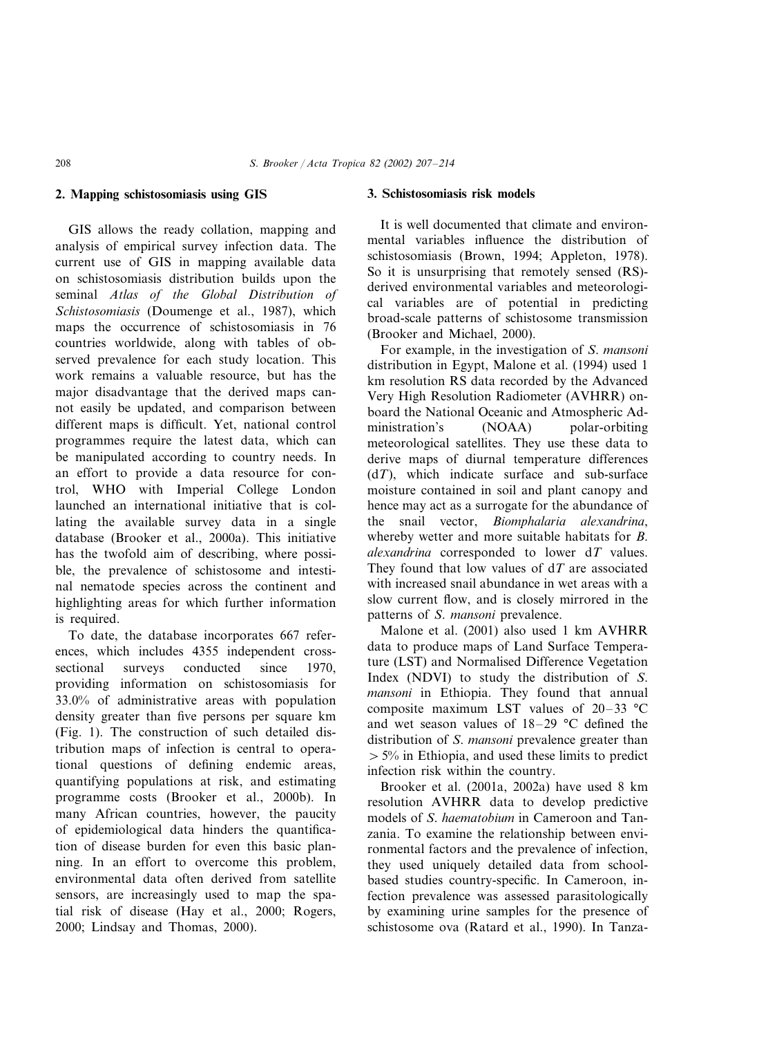# **2. Mapping schistosomiasis using GIS**

GIS allows the ready collation, mapping and analysis of empirical survey infection data. The current use of GIS in mapping available data on schistosomiasis distribution builds upon the seminal *Atlas of the Global Distribution of Schistosomiasis* (Doumenge et al., 1987), which maps the occurrence of schistosomiasis in 76 countries worldwide, along with tables of observed prevalence for each study location. This work remains a valuable resource, but has the major disadvantage that the derived maps cannot easily be updated, and comparison between different maps is difficult. Yet, national control programmes require the latest data, which can be manipulated according to country needs. In an effort to provide a data resource for control, WHO with Imperial College London launched an international initiative that is collating the available survey data in a single database (Brooker et al., 2000a). This initiative has the twofold aim of describing, where possible, the prevalence of schistosome and intestinal nematode species across the continent and highlighting areas for which further information is required.

To date, the database incorporates 667 references, which includes 4355 independent crosssectional surveys conducted since 1970, providing information on schistosomiasis for 33.0% of administrative areas with population density greater than five persons per square km (Fig. 1). The construction of such detailed distribution maps of infection is central to operational questions of defining endemic areas, quantifying populations at risk, and estimating programme costs (Brooker et al., 2000b). In many African countries, however, the paucity of epidemiological data hinders the quantification of disease burden for even this basic planning. In an effort to overcome this problem, environmental data often derived from satellite sensors, are increasingly used to map the spatial risk of disease (Hay et al., 2000; Rogers, 2000; Lindsay and Thomas, 2000).

## **3. Schistosomiasis risk models**

It is well documented that climate and environmental variables influence the distribution of schistosomiasis (Brown, 1994; Appleton, 1978). So it is unsurprising that remotely sensed (RS) derived environmental variables and meteorological variables are of potential in predicting broad-scale patterns of schistosome transmission (Brooker and Michael, 2000).

For example, in the investigation of *S*. *mansoni* distribution in Egypt, Malone et al. (1994) used 1 km resolution RS data recorded by the Advanced Very High Resolution Radiometer (AVHRR) onboard the National Oceanic and Atmospheric Administration's (NOAA) polar-orbiting meteorological satellites. They use these data to derive maps of diurnal temperature differences (d*T*), which indicate surface and sub-surface moisture contained in soil and plant canopy and hence may act as a surrogate for the abundance of the snail vector, *Biomphalaria alexandrina*, whereby wetter and more suitable habitats for *B*. *alexandrina* corresponded to lower d*T* values. They found that low values of d*T* are associated with increased snail abundance in wet areas with a slow current flow, and is closely mirrored in the patterns of *S*. *mansoni* prevalence.

Malone et al. (2001) also used 1 km AVHRR data to produce maps of Land Surface Temperature (LST) and Normalised Difference Vegetation Index (NDVI) to study the distribution of *S*. *mansoni* in Ethiopia. They found that annual composite maximum LST values of 20–33 °C and wet season values of 18–29 °C defined the distribution of *S*. *mansoni* prevalence greater than  $> 5\%$  in Ethiopia, and used these limits to predict infection risk within the country.

Brooker et al. (2001a, 2002a) have used 8 km resolution AVHRR data to develop predictive models of *S*. *haematobium* in Cameroon and Tanzania. To examine the relationship between environmental factors and the prevalence of infection, they used uniquely detailed data from schoolbased studies country-specific. In Cameroon, infection prevalence was assessed parasitologically by examining urine samples for the presence of schistosome ova (Ratard et al., 1990). In Tanza-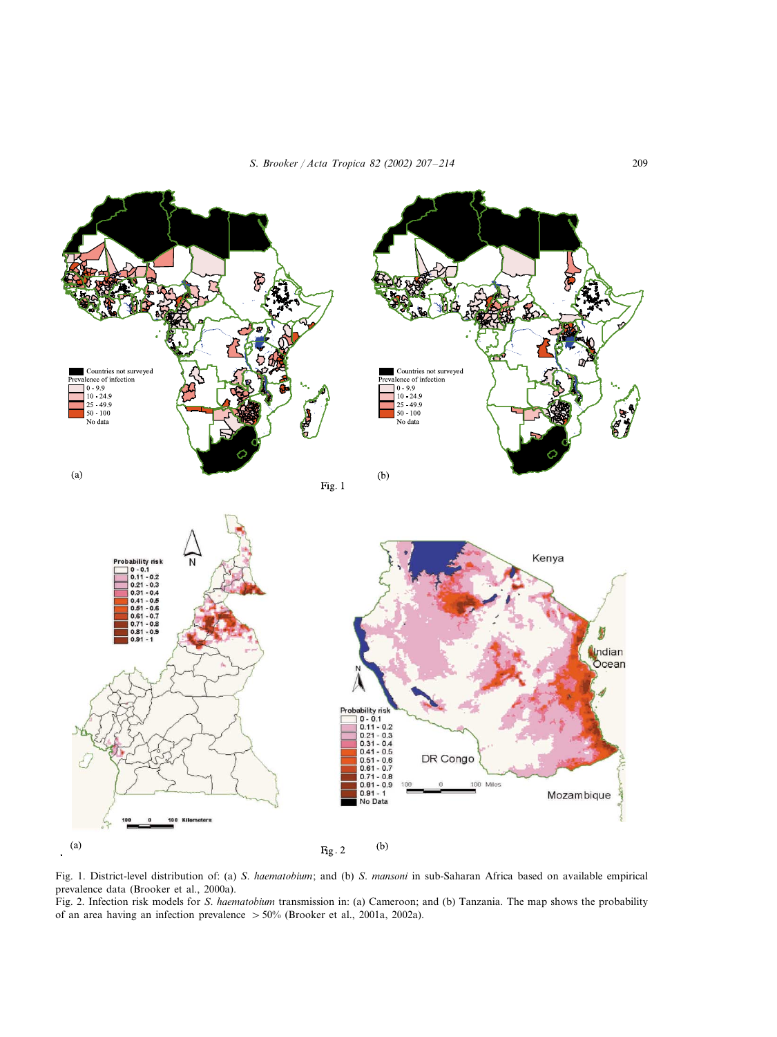

Fig. 1. District-level distribution of: (a) *S*. *haematobium*; and (b) *S*. *mansoni* in sub-Saharan Africa based on available empirical prevalence data (Brooker et al., 2000a).

Fig. 2. Infection risk models for *S*. *haematobium* transmission in: (a) Cameroon; and (b) Tanzania. The map shows the probability of an area having an infection prevalence  $> 50\%$  (Brooker et al., 2001a, 2002a).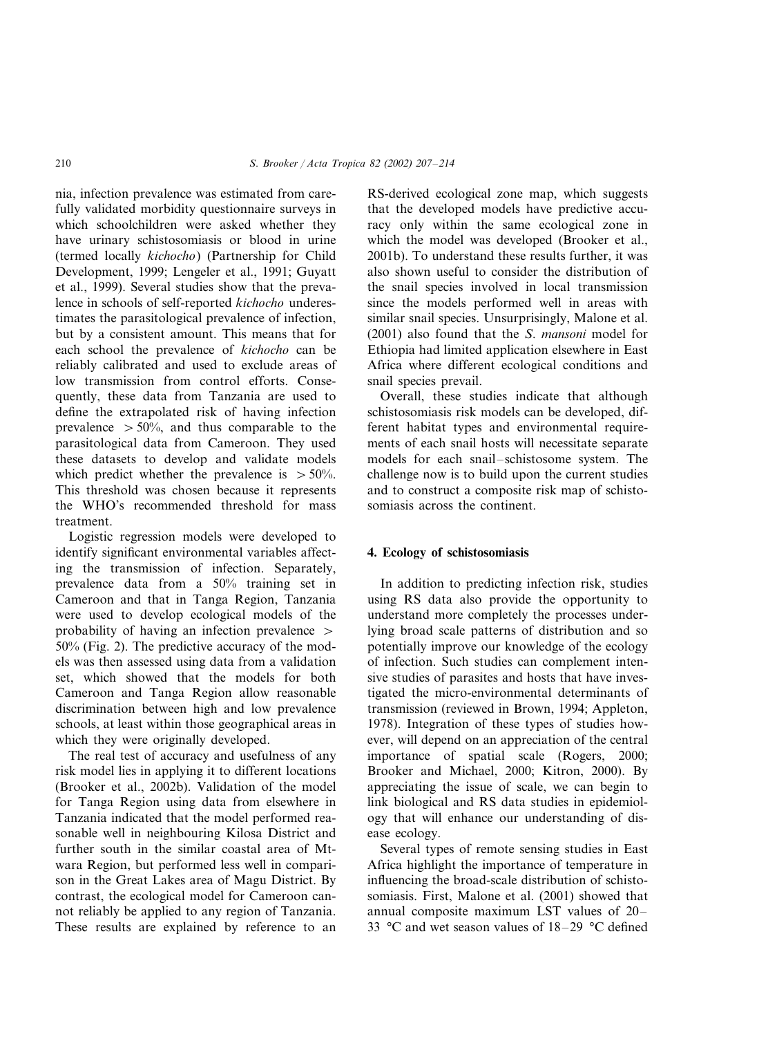nia, infection prevalence was estimated from carefully validated morbidity questionnaire surveys in which schoolchildren were asked whether they have urinary schistosomiasis or blood in urine (termed locally *kichocho*) (Partnership for Child Development, 1999; Lengeler et al., 1991; Guyatt et al., 1999). Several studies show that the prevalence in schools of self-reported *kichocho* underestimates the parasitological prevalence of infection, but by a consistent amount. This means that for each school the prevalence of *kichocho* can be reliably calibrated and used to exclude areas of low transmission from control efforts. Consequently, these data from Tanzania are used to define the extrapolated risk of having infection prevalence  $> 50\%$ , and thus comparable to the parasitological data from Cameroon. They used these datasets to develop and validate models which predict whether the prevalence is  $> 50\%$ . This threshold was chosen because it represents the WHO's recommended threshold for mass treatment.

Logistic regression models were developed to identify significant environmental variables affecting the transmission of infection. Separately, prevalence data from a 50% training set in Cameroon and that in Tanga Region, Tanzania were used to develop ecological models of the probability of having an infection prevalence  $>$ 50% (Fig. 2). The predictive accuracy of the models was then assessed using data from a validation set, which showed that the models for both Cameroon and Tanga Region allow reasonable discrimination between high and low prevalence schools, at least within those geographical areas in which they were originally developed.

The real test of accuracy and usefulness of any risk model lies in applying it to different locations (Brooker et al., 2002b). Validation of the model for Tanga Region using data from elsewhere in Tanzania indicated that the model performed reasonable well in neighbouring Kilosa District and further south in the similar coastal area of Mtwara Region, but performed less well in comparison in the Great Lakes area of Magu District. By contrast, the ecological model for Cameroon cannot reliably be applied to any region of Tanzania. These results are explained by reference to an RS-derived ecological zone map, which suggests that the developed models have predictive accuracy only within the same ecological zone in which the model was developed (Brooker et al., 2001b). To understand these results further, it was also shown useful to consider the distribution of the snail species involved in local transmission since the models performed well in areas with similar snail species. Unsurprisingly, Malone et al. (2001) also found that the *S*. *mansoni* model for Ethiopia had limited application elsewhere in East Africa where different ecological conditions and snail species prevail.

Overall, these studies indicate that although schistosomiasis risk models can be developed, different habitat types and environmental requirements of each snail hosts will necessitate separate models for each snail–schistosome system. The challenge now is to build upon the current studies and to construct a composite risk map of schistosomiasis across the continent.

## **4. Ecology of schistosomiasis**

In addition to predicting infection risk, studies using RS data also provide the opportunity to understand more completely the processes underlying broad scale patterns of distribution and so potentially improve our knowledge of the ecology of infection. Such studies can complement intensive studies of parasites and hosts that have investigated the micro-environmental determinants of transmission (reviewed in Brown, 1994; Appleton, 1978). Integration of these types of studies however, will depend on an appreciation of the central importance of spatial scale (Rogers, 2000; Brooker and Michael, 2000; Kitron, 2000). By appreciating the issue of scale, we can begin to link biological and RS data studies in epidemiology that will enhance our understanding of disease ecology.

Several types of remote sensing studies in East Africa highlight the importance of temperature in influencing the broad-scale distribution of schistosomiasis. First, Malone et al. (2001) showed that annual composite maximum LST values of 20– 33 °C and wet season values of 18–29 °C defined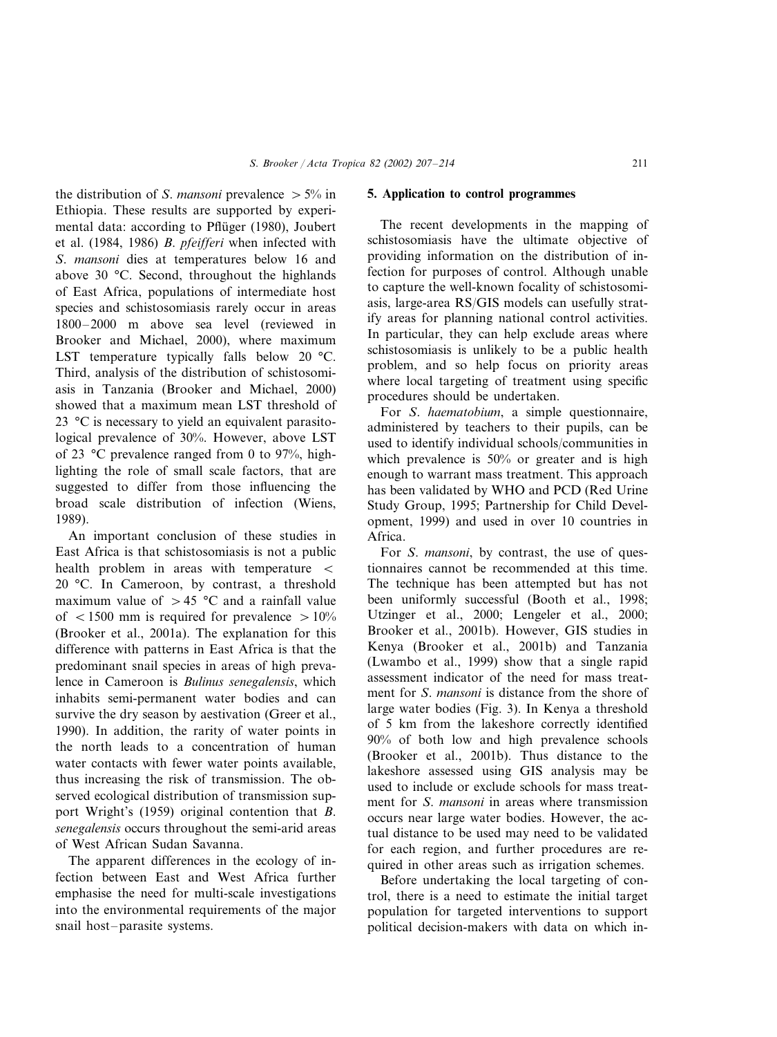the distribution of *S. mansoni* prevalence  $> 5\%$  in Ethiopia. These results are supported by experimental data: according to Pflüger (1980), Joubert et al. (1984, 1986) *B*. *pfeifferi* when infected with *S*. *mansoni* dies at temperatures below 16 and above 30 °C. Second, throughout the highlands of East Africa, populations of intermediate host species and schistosomiasis rarely occur in areas 1800–2000 m above sea level (reviewed in Brooker and Michael, 2000), where maximum LST temperature typically falls below 20 °C. Third, analysis of the distribution of schistosomiasis in Tanzania (Brooker and Michael, 2000) showed that a maximum mean LST threshold of 23 °C is necessary to yield an equivalent parasitological prevalence of 30%. However, above LST of 23 °C prevalence ranged from 0 to 97%, highlighting the role of small scale factors, that are suggested to differ from those influencing the broad scale distribution of infection (Wiens, 1989).

An important conclusion of these studies in East Africa is that schistosomiasis is not a public health problem in areas with temperature  $\lt$ 20 °C. In Cameroon, by contrast, a threshold maximum value of  $> 45$  °C and a rainfall value of  $\langle 1500 \text{ mm}$  is required for prevalence  $> 10\%$ (Brooker et al., 2001a). The explanation for this difference with patterns in East Africa is that the predominant snail species in areas of high prevalence in Cameroon is *Bulinus senegalensis*, which inhabits semi-permanent water bodies and can survive the dry season by aestivation (Greer et al., 1990). In addition, the rarity of water points in the north leads to a concentration of human water contacts with fewer water points available, thus increasing the risk of transmission. The observed ecological distribution of transmission support Wright's (1959) original contention that *B*. *senegalensis* occurs throughout the semi-arid areas of West African Sudan Savanna.

The apparent differences in the ecology of infection between East and West Africa further emphasise the need for multi-scale investigations into the environmental requirements of the major snail host–parasite systems.

## **5. Application to control programmes**

The recent developments in the mapping of schistosomiasis have the ultimate objective of providing information on the distribution of infection for purposes of control. Although unable to capture the well-known focality of schistosomiasis, large-area RS/GIS models can usefully stratify areas for planning national control activities. In particular, they can help exclude areas where schistosomiasis is unlikely to be a public health problem, and so help focus on priority areas where local targeting of treatment using specific procedures should be undertaken.

For *S*. *haematobium*, a simple questionnaire, administered by teachers to their pupils, can be used to identify individual schools/communities in which prevalence is 50% or greater and is high enough to warrant mass treatment. This approach has been validated by WHO and PCD (Red Urine Study Group, 1995; Partnership for Child Development, 1999) and used in over 10 countries in Africa.

For *S*. *mansoni*, by contrast, the use of questionnaires cannot be recommended at this time. The technique has been attempted but has not been uniformly successful (Booth et al., 1998; Utzinger et al., 2000; Lengeler et al., 2000; Brooker et al., 2001b). However, GIS studies in Kenya (Brooker et al., 2001b) and Tanzania (Lwambo et al., 1999) show that a single rapid assessment indicator of the need for mass treatment for *S*. *mansoni* is distance from the shore of large water bodies (Fig. 3). In Kenya a threshold of 5 km from the lakeshore correctly identified 90% of both low and high prevalence schools (Brooker et al., 2001b). Thus distance to the lakeshore assessed using GIS analysis may be used to include or exclude schools for mass treatment for *S*. *mansoni* in areas where transmission occurs near large water bodies. However, the actual distance to be used may need to be validated for each region, and further procedures are required in other areas such as irrigation schemes.

Before undertaking the local targeting of control, there is a need to estimate the initial target population for targeted interventions to support political decision-makers with data on which in-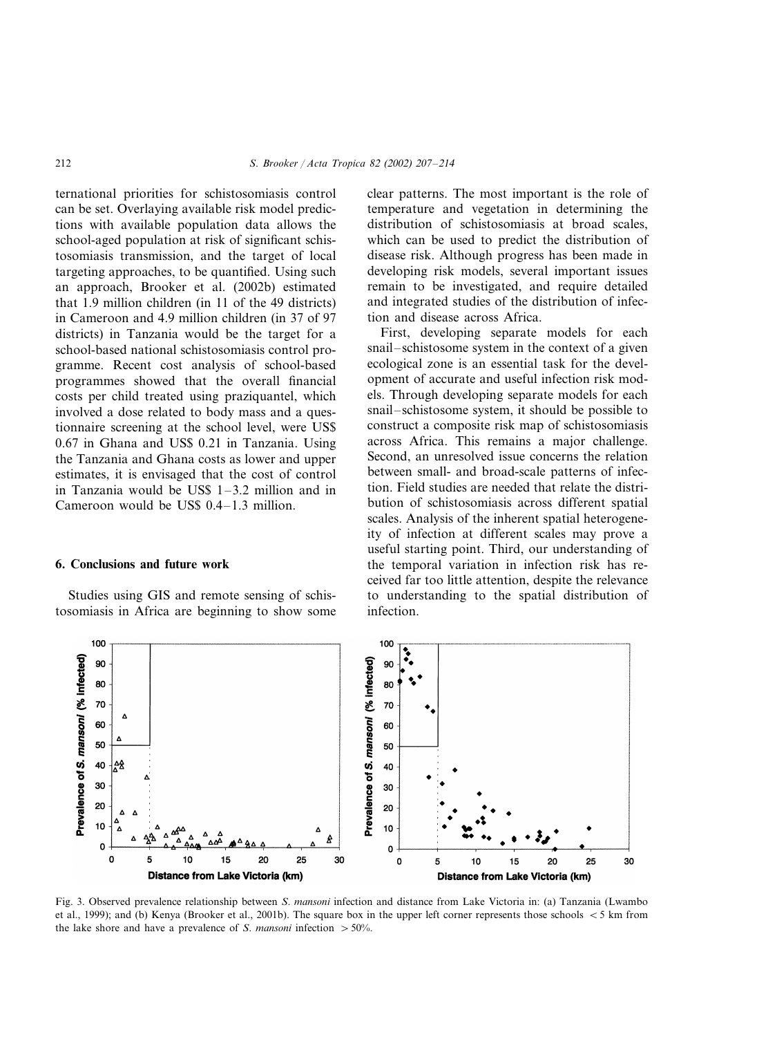ternational priorities for schistosomiasis control can be set. Overlaying available risk model predictions with available population data allows the school-aged population at risk of significant schistosomiasis transmission, and the target of local targeting approaches, to be quantified. Using such an approach, Brooker et al. (2002b) estimated that 1.9 million children (in 11 of the 49 districts) in Cameroon and 4.9 million children (in 37 of 97 districts) in Tanzania would be the target for a school-based national schistosomiasis control programme. Recent cost analysis of school-based programmes showed that the overall financial costs per child treated using praziquantel, which involved a dose related to body mass and a questionnaire screening at the school level, were US\$ 0.67 in Ghana and US\$ 0.21 in Tanzania. Using the Tanzania and Ghana costs as lower and upper estimates, it is envisaged that the cost of control in Tanzania would be US\$ 1–3.2 million and in Cameroon would be US\$ 0.4–1.3 million.

## **6. Conclusions and future work**

Studies using GIS and remote sensing of schistosomiasis in Africa are beginning to show some clear patterns. The most important is the role of temperature and vegetation in determining the distribution of schistosomiasis at broad scales, which can be used to predict the distribution of disease risk. Although progress has been made in developing risk models, several important issues remain to be investigated, and require detailed and integrated studies of the distribution of infection and disease across Africa.

First, developing separate models for each snail–schistosome system in the context of a given ecological zone is an essential task for the development of accurate and useful infection risk models. Through developing separate models for each snail–schistosome system, it should be possible to construct a composite risk map of schistosomiasis across Africa. This remains a major challenge. Second, an unresolved issue concerns the relation between small- and broad-scale patterns of infection. Field studies are needed that relate the distribution of schistosomiasis across different spatial scales. Analysis of the inherent spatial heterogeneity of infection at different scales may prove a useful starting point. Third, our understanding of the temporal variation in infection risk has received far too little attention, despite the relevance to understanding to the spatial distribution of infection.



Fig. 3. Observed prevalence relationship between *S*. *mansoni* infection and distance from Lake Victoria in: (a) Tanzania (Lwambo et al., 1999); and (b) Kenya (Brooker et al., 2001b). The square box in the upper left corner represents those schools < 5 km from the lake shore and have a prevalence of *S. mansoni* infection  $> 50\%$ .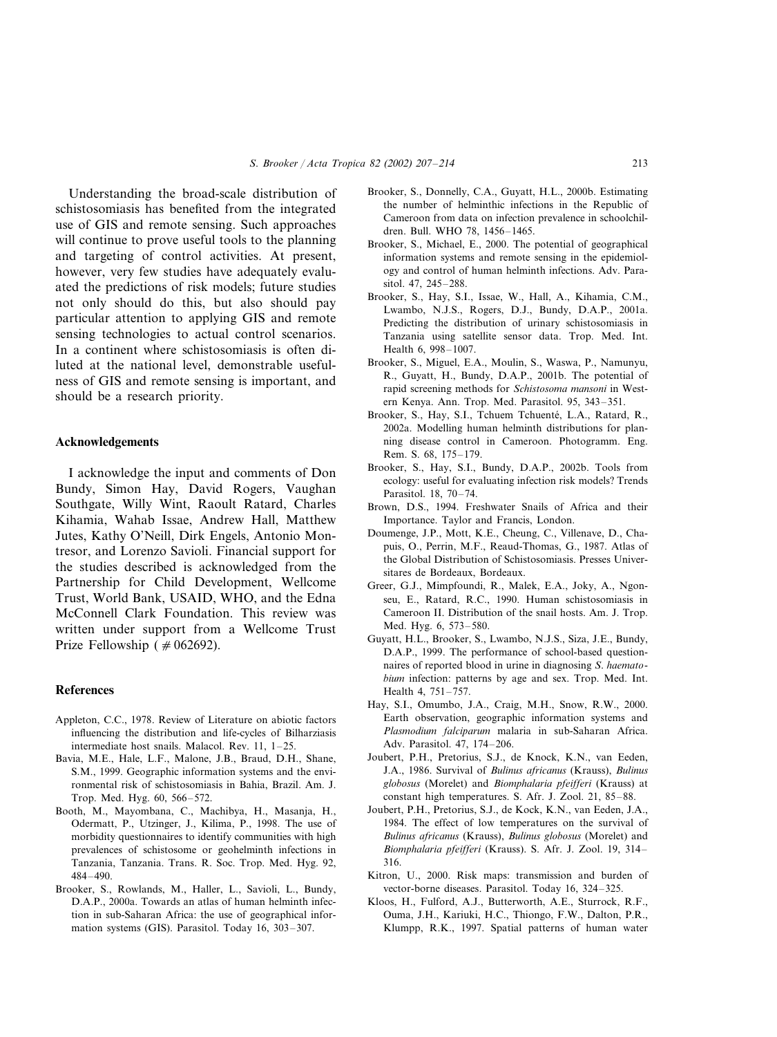Understanding the broad-scale distribution of schistosomiasis has benefited from the integrated use of GIS and remote sensing. Such approaches will continue to prove useful tools to the planning and targeting of control activities. At present, however, very few studies have adequately evaluated the predictions of risk models; future studies not only should do this, but also should pay particular attention to applying GIS and remote sensing technologies to actual control scenarios. In a continent where schistosomiasis is often diluted at the national level, demonstrable usefulness of GIS and remote sensing is important, and should be a research priority.

#### **Acknowledgements**

I acknowledge the input and comments of Don Bundy, Simon Hay, David Rogers, Vaughan Southgate, Willy Wint, Raoult Ratard, Charles Kihamia, Wahab Issae, Andrew Hall, Matthew Jutes, Kathy O'Neill, Dirk Engels, Antonio Montresor, and Lorenzo Savioli. Financial support for the studies described is acknowledged from the Partnership for Child Development, Wellcome Trust, World Bank, USAID, WHO, and the Edna McConnell Clark Foundation. This review was written under support from a Wellcome Trust Prize Fellowship ( $\neq$  062692).

## **References**

- Appleton, C.C., 1978. Review of Literature on abiotic factors influencing the distribution and life-cycles of Bilharziasis intermediate host snails. Malacol. Rev. 11, 1–25.
- Bavia, M.E., Hale, L.F., Malone, J.B., Braud, D.H., Shane, S.M., 1999. Geographic information systems and the environmental risk of schistosomiasis in Bahia, Brazil. Am. J. Trop. Med. Hyg. 60, 566–572.
- Booth, M., Mayombana, C., Machibya, H., Masanja, H., Odermatt, P., Utzinger, J., Kilima, P., 1998. The use of morbidity questionnaires to identify communities with high prevalences of schistosome or geohelminth infections in Tanzania, Tanzania. Trans. R. Soc. Trop. Med. Hyg. 92, 484–490.
- Brooker, S., Rowlands, M., Haller, L., Savioli, L., Bundy, D.A.P., 2000a. Towards an atlas of human helminth infection in sub-Saharan Africa: the use of geographical information systems (GIS). Parasitol. Today 16, 303–307.
- Brooker, S., Donnelly, C.A., Guyatt, H.L., 2000b. Estimating the number of helminthic infections in the Republic of Cameroon from data on infection prevalence in schoolchildren. Bull. WHO 78, 1456–1465.
- Brooker, S., Michael, E., 2000. The potential of geographical information systems and remote sensing in the epidemiology and control of human helminth infections. Adv. Parasitol. 47, 245–288.
- Brooker, S., Hay, S.I., Issae, W., Hall, A., Kihamia, C.M., Lwambo, N.J.S., Rogers, D.J., Bundy, D.A.P., 2001a. Predicting the distribution of urinary schistosomiasis in Tanzania using satellite sensor data. Trop. Med. Int. Health 6, 998–1007.
- Brooker, S., Miguel, E.A., Moulin, S., Waswa, P., Namunyu, R., Guyatt, H., Bundy, D.A.P., 2001b. The potential of rapid screening methods for *Schistosoma mansoni* in Western Kenya. Ann. Trop. Med. Parasitol. 95, 343–351.
- Brooker, S., Hay, S.I., Tchuem Tchuenté, L.A., Ratard, R., 2002a. Modelling human helminth distributions for planning disease control in Cameroon. Photogramm. Eng. Rem. S. 68, 175–179.
- Brooker, S., Hay, S.I., Bundy, D.A.P., 2002b. Tools from ecology: useful for evaluating infection risk models? Trends Parasitol. 18, 70–74.
- Brown, D.S., 1994. Freshwater Snails of Africa and their Importance. Taylor and Francis, London.
- Doumenge, J.P., Mott, K.E., Cheung, C., Villenave, D., Chapuis, O., Perrin, M.F., Reaud-Thomas, G., 1987. Atlas of the Global Distribution of Schistosomiasis. Presses Universitares de Bordeaux, Bordeaux.
- Greer, G.J., Mimpfoundi, R., Malek, E.A., Joky, A., Ngonseu, E., Ratard, R.C., 1990. Human schistosomiasis in Cameroon II. Distribution of the snail hosts. Am. J. Trop. Med. Hyg. 6, 573–580.
- Guyatt, H.L., Brooker, S., Lwambo, N.J.S., Siza, J.E., Bundy, D.A.P., 1999. The performance of school-based questionnaires of reported blood in urine in diagnosing *S*. *haematobium* infection: patterns by age and sex. Trop. Med. Int. Health 4, 751–757.
- Hay, S.I., Omumbo, J.A., Craig, M.H., Snow, R.W., 2000. Earth observation, geographic information systems and *Plasmodium falciparum* malaria in sub-Saharan Africa. Adv. Parasitol. 47, 174–206.
- Joubert, P.H., Pretorius, S.J., de Knock, K.N., van Eeden, J.A., 1986. Survival of *Bulinus africanus* (Krauss), *Bulinus globosus* (Morelet) and *Biomphalaria pfeifferi* (Krauss) at constant high temperatures. S. Afr. J. Zool. 21, 85–88.
- Joubert, P.H., Pretorius, S.J., de Kock, K.N., van Eeden, J.A., 1984. The effect of low temperatures on the survival of *Bulinus africanus* (Krauss), *Bulinus globosus* (Morelet) and *Biomphalaria pfeifferi* (Krauss). S. Afr. J. Zool. 19, 314– 316.
- Kitron, U., 2000. Risk maps: transmission and burden of vector-borne diseases. Parasitol. Today 16, 324–325.
- Kloos, H., Fulford, A.J., Butterworth, A.E., Sturrock, R.F., Ouma, J.H., Kariuki, H.C., Thiongo, F.W., Dalton, P.R., Klumpp, R.K., 1997. Spatial patterns of human water